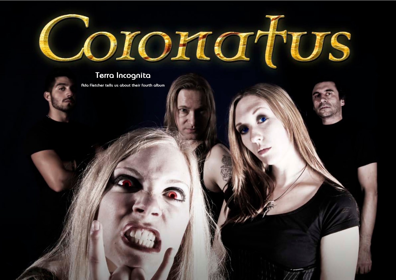Hallowed PDF-article Design by Daniel Källmalm



# **Terra Incognita**

**Ada Fletcher tells us about their fourth album**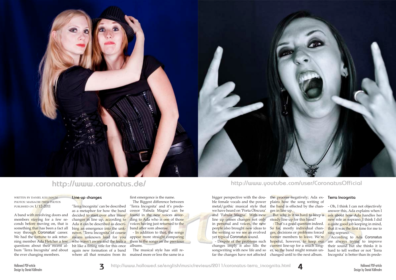

written by daniel källmalm photos: massacre press photos published on 1/12-2011

A band with revolving doors and members staying for a few seconds before moving on, that is something that has been a fact all way through Coronatus' career. We had the fortune to ask returquestions about their recent album 'Terra Incognita' and about the ever changing members.

ning member Ada Fletcher a few who wasn't aware and the feels a 'Terra Incognita' can be described as a metaphor for how the band decided to start over after many changes in line up, according to Ada it can be described as describing an emergence into the unknown. 'Terra Incognita' of course means unknown land for you bit like a fitting title for this once again new formation of a band where all that remains from its

## **Line-up changes**

first emergence is the name.

The Biggest difference between 'Terra Incognita' and it's predecessor 'Fabula Magna' can be found in the new voices according to Ada who is one of those voices having just returned to the band after som absense.

steady line up for this band? - That's a good question indeed. ges, decisions or problems forced former members to leave. We're hopeful, however, to keep our are always trying to improve current line-up for a much longer, so the band might remain un-

- In addition to that, the songs appear more straight comparing them to the songs on the previous albums.

The musical style has still remained more or less the same in a bigger perspective with the double female vocals and the power metal/gothic musical style that we have heard on 'Porta Obscura' and 'Fabula Magna'. With new line up comes changes not only in personal and voices, the new people also brought new ideas to So far, mostly individual chanthe writing so we see an evolved yet typical Coronatus sound.

the process negatively; Ada ex-**Terra Incognita** plains how the song writing of the **band** is effected by the chan- - Oh, I think I can not objectively ges in line up.

- Despite of the problems such changes imply it also fills the songwriting with new life and so far the changes have not affected changed until to the next album.

According to Ada Coronatus their sound but she thinks it is hard to tell wether or not 'Terra Incognita' is better than its prede-



## **http://www.coronatus.de/ http://www.youtube.com/user/CoronatusOfficial**

But why is it so hard to keep a ask about how Ada handles her answer this, Ada explains when I new role as soprano. I think I did a quite good job keeping in mind, that it was the first time for me to sing soprano.